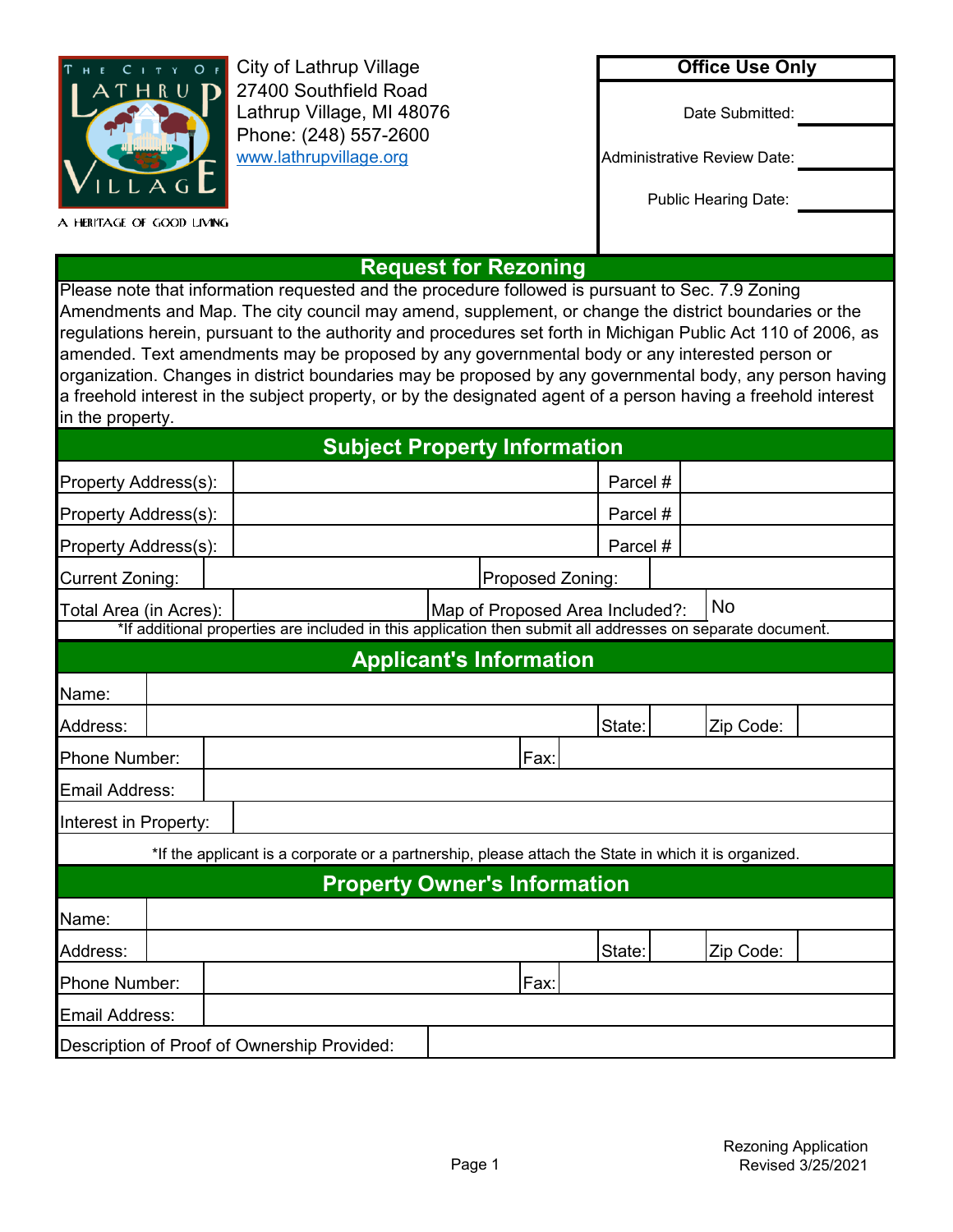| HE CITY OF | <b>City of Lathrup Village</b>                     |
|------------|----------------------------------------------------|
| . T H      | 27400 Southfield Road<br>Lathrup Village, MI 48076 |
|            | Phone: (248) 557-2600<br>www.lathrupvillage.org    |
|            |                                                    |

A HERITAGE OF GOOD LIVING

## **Office Use Only**

Date Submitted:

Administrative Review Date:

Public Hearing Date:

## **Request for Rezoning**

Please note that information requested and the procedure followed is pursuant to Sec. 7.9 Zoning Amendments and Map. The city council may amend, supplement, or change the district boundaries or the regulations herein, pursuant to the authority and procedures set forth in Michigan Public Act 110 of 2006, as amended. Text amendments may be proposed by any governmental body or any interested person or organization. Changes in district boundaries may be proposed by any governmental body, any person having a freehold interest in the subject property, or by the designated agent of a person having a freehold interest in the property.

| <b>Subject Property Information</b>                                                                        |                                                           |                     |                  |          |                                |        |           |  |
|------------------------------------------------------------------------------------------------------------|-----------------------------------------------------------|---------------------|------------------|----------|--------------------------------|--------|-----------|--|
| Property Address(s):                                                                                       |                                                           |                     | Parcel#          |          |                                |        |           |  |
| Property Address(s):                                                                                       |                                                           |                     | Parcel #         |          |                                |        |           |  |
|                                                                                                            | Property Address(s):                                      |                     |                  | Parcel # |                                |        |           |  |
| <b>Current Zoning:</b>                                                                                     |                                                           |                     | Proposed Zoning: |          |                                |        |           |  |
|                                                                                                            | Map of Proposed Area Included?:<br>Total Area (in Acres): |                     |                  |          | <b>No</b>                      |        |           |  |
| *If additional properties are included in this application then submit all addresses on separate document. |                                                           |                     |                  |          |                                |        |           |  |
|                                                                                                            |                                                           |                     |                  |          | <b>Applicant's Information</b> |        |           |  |
| Name:                                                                                                      |                                                           |                     |                  |          |                                |        |           |  |
| Address:                                                                                                   |                                                           | State:<br>Zip Code: |                  |          |                                |        |           |  |
| Phone Number:                                                                                              | Fax:                                                      |                     |                  |          |                                |        |           |  |
|                                                                                                            | Email Address:                                            |                     |                  |          |                                |        |           |  |
| Interest in Property:                                                                                      |                                                           |                     |                  |          |                                |        |           |  |
| *If the applicant is a corporate or a partnership, please attach the State in which it is organized.       |                                                           |                     |                  |          |                                |        |           |  |
| <b>Property Owner's Information</b>                                                                        |                                                           |                     |                  |          |                                |        |           |  |
| Name:                                                                                                      |                                                           |                     |                  |          |                                |        |           |  |
| Address:                                                                                                   |                                                           |                     |                  |          |                                | State: | Zip Code: |  |
| Phone Number:                                                                                              |                                                           |                     | Fax:             |          |                                |        |           |  |
| Email Address:                                                                                             |                                                           |                     |                  |          |                                |        |           |  |
|                                                                                                            | Description of Proof of Ownership Provided:               |                     |                  |          |                                |        |           |  |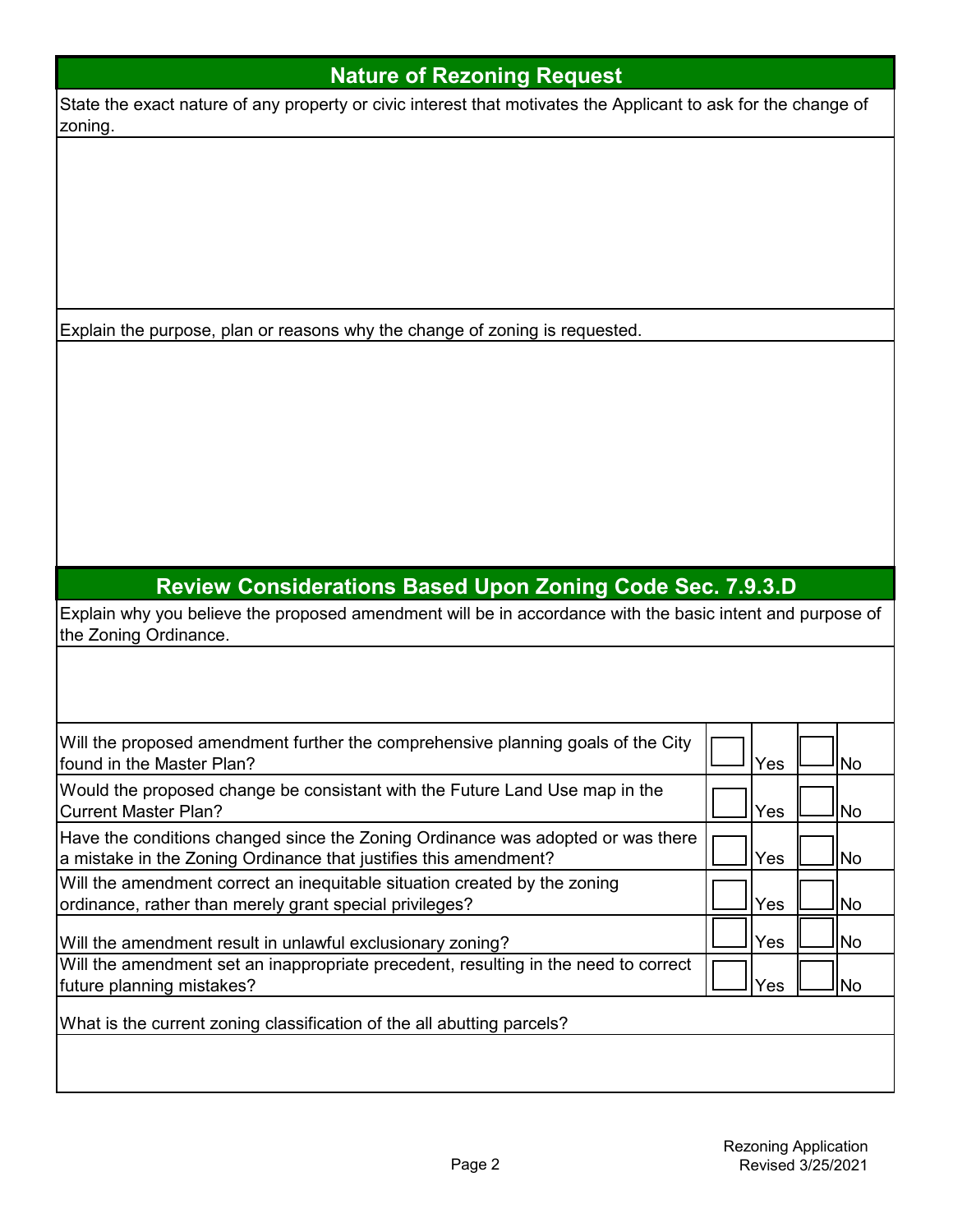| <b>Nature of Rezoning Request</b>                                                                                         |     |           |
|---------------------------------------------------------------------------------------------------------------------------|-----|-----------|
| State the exact nature of any property or civic interest that motivates the Applicant to ask for the change of<br>zoning. |     |           |
|                                                                                                                           |     |           |
|                                                                                                                           |     |           |
|                                                                                                                           |     |           |
|                                                                                                                           |     |           |
|                                                                                                                           |     |           |
|                                                                                                                           |     |           |
| Explain the purpose, plan or reasons why the change of zoning is requested.                                               |     |           |
|                                                                                                                           |     |           |
|                                                                                                                           |     |           |
|                                                                                                                           |     |           |
|                                                                                                                           |     |           |
|                                                                                                                           |     |           |
|                                                                                                                           |     |           |
|                                                                                                                           |     |           |
|                                                                                                                           |     |           |
|                                                                                                                           |     |           |
|                                                                                                                           |     |           |
| <b>Review Considerations Based Upon Zoning Code Sec. 7.9.3.D</b>                                                          |     |           |
| Explain why you believe the proposed amendment will be in accordance with the basic intent and purpose of                 |     |           |
| the Zoning Ordinance.                                                                                                     |     |           |
|                                                                                                                           |     |           |
|                                                                                                                           |     |           |
|                                                                                                                           |     |           |
| Will the proposed amendment further the comprehensive planning goals of the City<br>found in the Master Plan?             | Yes | <b>No</b> |
|                                                                                                                           |     |           |
| Would the proposed change be consistant with the Future Land Use map in the<br><b>Current Master Plan?</b>                | Yes | <b>No</b> |
| Have the conditions changed since the Zoning Ordinance was adopted or was there                                           |     |           |
| a mistake in the Zoning Ordinance that justifies this amendment?                                                          | Yes | <b>No</b> |
| Will the amendment correct an inequitable situation created by the zoning                                                 |     |           |
| ordinance, rather than merely grant special privileges?                                                                   | Yes | <b>No</b> |
|                                                                                                                           |     |           |
| Will the amendment result in unlawful exclusionary zoning?                                                                | Yes | <b>No</b> |
| Will the amendment set an inappropriate precedent, resulting in the need to correct<br>future planning mistakes?          | Yes | No        |